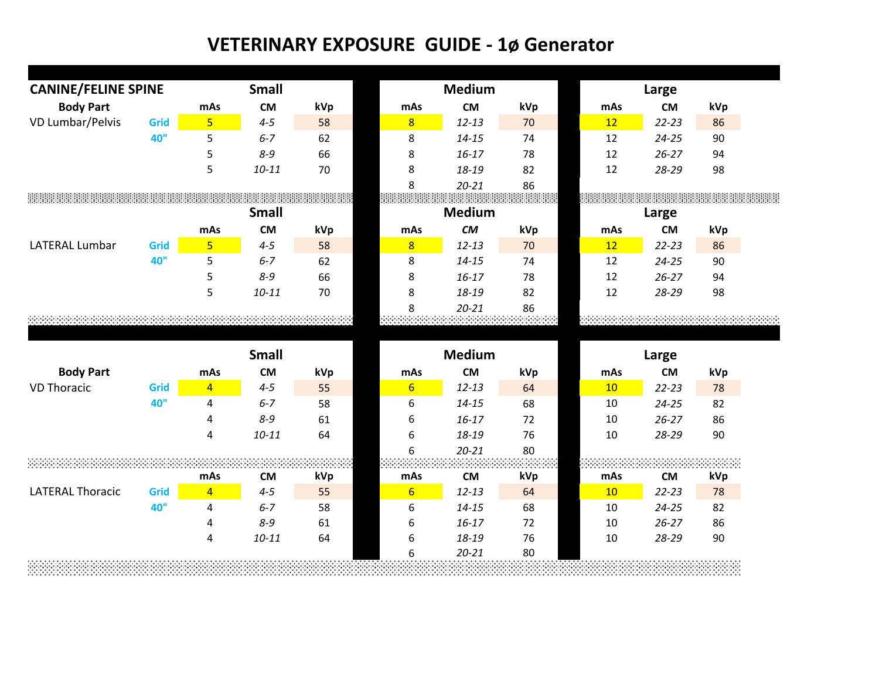| <b>CANINE/FELINE SPINE</b> |              |                | <b>Small</b>         |               |                  | <b>Medium</b>      |                                                                  |          | Large              |          |  |
|----------------------------|--------------|----------------|----------------------|---------------|------------------|--------------------|------------------------------------------------------------------|----------|--------------------|----------|--|
| <b>Body Part</b>           |              | mAs            | <b>CM</b>            | kVp           | mAs              | <b>CM</b>          | kVp                                                              | mAs      | <b>CM</b>          | kVp      |  |
| VD Lumbar/Pelvis           | Grid         | 5 <sup>1</sup> | $4 - 5$              | 58            | $\overline{8}$   | $12 - 13$          | 70                                                               | 12       | $22 - 23$          | 86       |  |
|                            | 40"          | 5              | $6 - 7$              | 62            | 8                | $14 - 15$          | 74                                                               | 12       | $24 - 25$          | 90       |  |
|                            |              | 5              | $8 - 9$              | 66            | 8                | $16 - 17$          | 78                                                               | 12       | $26 - 27$          | 94       |  |
|                            |              | 5              | $10 - 11$            | 70            | 8                | 18-19              | 82                                                               | 12       | 28-29              | 98       |  |
|                            |              |                |                      |               | 8                | $20 - 21$          | 86                                                               |          |                    |          |  |
|                            |              |                |                      |               | eenaa            |                    | : \$\$\$\$\$\$\$\$\$\$\$\$\$\$\$\$\$\$\$\$\$\$\$\$\$\$\$\$\$\$\$ |          |                    |          |  |
|                            |              |                | <b>Small</b>         |               |                  | <b>Medium</b>      |                                                                  |          | Large              |          |  |
|                            |              | mAs            | <b>CM</b>            | kVp           | mAs              | CM                 | kVp                                                              | mAs      | <b>CM</b>          | kVp      |  |
| <b>LATERAL Lumbar</b>      | Grid         | $\overline{5}$ | $4 - 5$              | 58            | 8                | $12 - 13$          | 70                                                               | 12       | $22 - 23$          | 86       |  |
|                            | 40"          | 5              | $6 - 7$              | 62            | 8                | $14 - 15$          | 74                                                               | 12       | $24 - 25$          | 90       |  |
|                            |              | 5              | $8 - 9$              | 66            | 8                | $16 - 17$          | 78                                                               | 12       | $26 - 27$          | 94       |  |
|                            |              | 5              | $10 - 11$            | 70            | 8                | 18-19              | 82                                                               | 12       | 28-29              | 98       |  |
|                            |              |                |                      |               | 8                | $20 - 21$          | 86                                                               |          |                    |          |  |
|                            |              |                |                      |               |                  |                    |                                                                  |          |                    |          |  |
|                            |              |                |                      |               |                  |                    |                                                                  |          |                    |          |  |
|                            | <b>Small</b> |                |                      | <b>Medium</b> |                  |                    | Large                                                            |          |                    |          |  |
| <b>Body Part</b>           |              | mAs            | <b>CM</b>            | kVp           | mAs              | <b>CM</b>          | kVp                                                              | mAs      | <b>CM</b>          | kVp      |  |
| <b>VD Thoracic</b>         | Grid         | $\overline{4}$ | $4 - 5$              | 55            | $6 \overline{6}$ | $12 - 13$          | 64                                                               | 10       | $22 - 23$          | 78       |  |
|                            | 40"          | $\overline{4}$ | $6 - 7$              | 58            | 6                | $14 - 15$          | 68                                                               | 10       | $24 - 25$          | 82       |  |
|                            |              | 4              | $8 - 9$              | 61            | 6                | $16 - 17$          | 72                                                               | 10       | $26 - 27$          | 86       |  |
|                            |              | $\overline{4}$ | $10 - 11$            | 64            | 6                | 18-19              | 76                                                               | 10       | 28-29              | 90       |  |
|                            |              |                |                      |               | 6                | $20 - 21$          | 80                                                               |          |                    |          |  |
|                            |              |                |                      |               |                  |                    |                                                                  |          |                    |          |  |
|                            |              |                |                      |               |                  |                    |                                                                  |          |                    |          |  |
|                            |              | mAs            | <b>CM</b>            | kVp           | mAs              | CM                 | kVp                                                              | mAs      | <b>CM</b>          | kVp      |  |
| <b>LATERAL Thoracic</b>    | Grid         | $\overline{4}$ | $4 - 5$              | 55            | $6 \overline{}$  | $12 - 13$          | 64                                                               | 10       | $22 - 23$          | 78       |  |
|                            | 40"          | 4              | $6 - 7$              | 58            | 6                | $14 - 15$          | 68                                                               | 10       | $24 - 25$          | 82       |  |
|                            |              | 4<br>4         | $8 - 9$<br>$10 - 11$ | 61<br>64      | 6<br>6           | $16 - 17$<br>18-19 | 72<br>76                                                         | 10<br>10 | $26 - 27$<br>28-29 | 86<br>90 |  |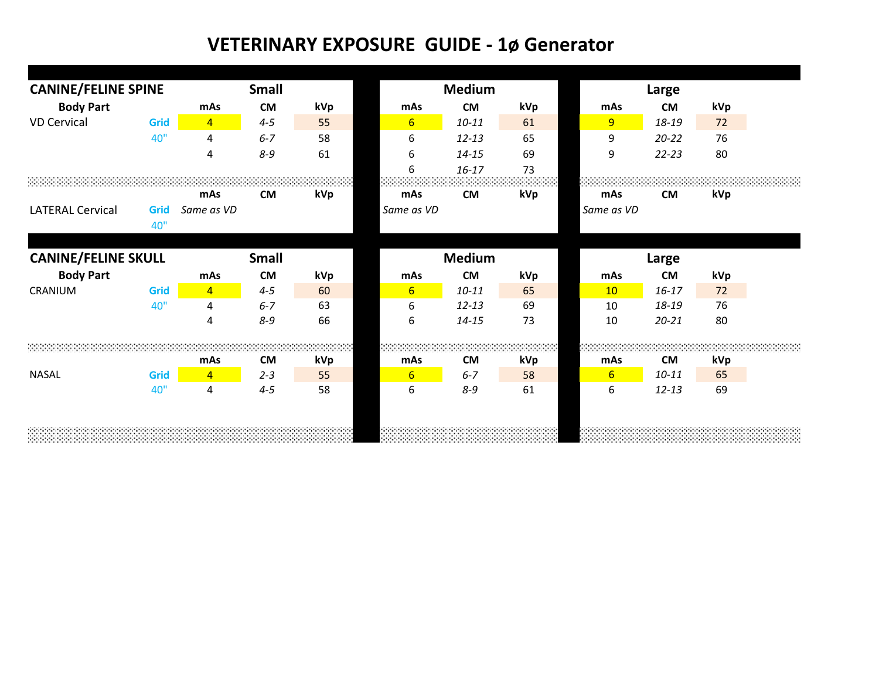| <b>CANINE/FELINE SPINE</b> |             |                | <b>Small</b> |     | <b>Medium</b>    |               |     | Large          |           |     |
|----------------------------|-------------|----------------|--------------|-----|------------------|---------------|-----|----------------|-----------|-----|
| <b>Body Part</b>           |             | mAs            | <b>CM</b>    | kVp | mAs              | <b>CM</b>     | kVp | mAs            | <b>CM</b> | kVp |
| <b>VD Cervical</b>         | Grid        | $\overline{4}$ | $4 - 5$      | 55  | $6 \overline{6}$ | $10 - 11$     | 61  | $\overline{9}$ | 18-19     | 72  |
|                            | 40"         | 4              | $6 - 7$      | 58  | 6                | $12 - 13$     | 65  | 9              | $20 - 22$ | 76  |
|                            |             | 4              | $8 - 9$      | 61  | 6                | $14 - 15$     | 69  | 9              | $22 - 23$ | 80  |
|                            |             |                |              |     | 6                | $16 - 17$     | 73  |                |           |     |
|                            |             | mAs            | <b>CM</b>    | kVp | mAs              | <b>CM</b>     | kVp | mAs            | <b>CM</b> | kVp |
| <b>LATERAL Cervical</b>    | Grid<br>40" | Same as VD     |              |     | Same as VD       |               |     | Same as VD     |           |     |
| <b>CANINE/FELINE SKULL</b> |             |                | <b>Small</b> |     |                  | <b>Medium</b> |     |                | Large     |     |
| <b>Body Part</b>           |             | mAs            | <b>CM</b>    | kVp | mAs              | <b>CM</b>     | kVp | mAs            | <b>CM</b> | kVp |
| CRANIUM                    | <b>Grid</b> | $\overline{4}$ | $4 - 5$      | 60  | $6 \overline{6}$ | $10 - 11$     | 65  | 10             | $16 - 17$ | 72  |
|                            | 40"         | 4              | $6 - 7$      | 63  | 6                | $12 - 13$     | 69  | 10             | 18-19     | 76  |
|                            |             | 4              | $8 - 9$      | 66  | 6                | $14 - 15$     | 73  | 10             | $20 - 21$ | 80  |
|                            |             |                |              |     |                  |               |     |                |           |     |
|                            |             | mAs            | <b>CM</b>    | kVp | mAs              | <b>CM</b>     | kVp | mAs            | <b>CM</b> | kVp |
| <b>NASAL</b>               | Grid        | $\overline{4}$ | $2 - 3$      | 55  | $6\overline{6}$  | $6 - 7$       | 58  | 6              | $10 - 11$ | 65  |
|                            | 40"         | 4              | $4 - 5$      | 58  | 6                | $8 - 9$       | 61  | 6              | $12 - 13$ | 69  |
|                            |             |                |              |     |                  |               |     |                |           |     |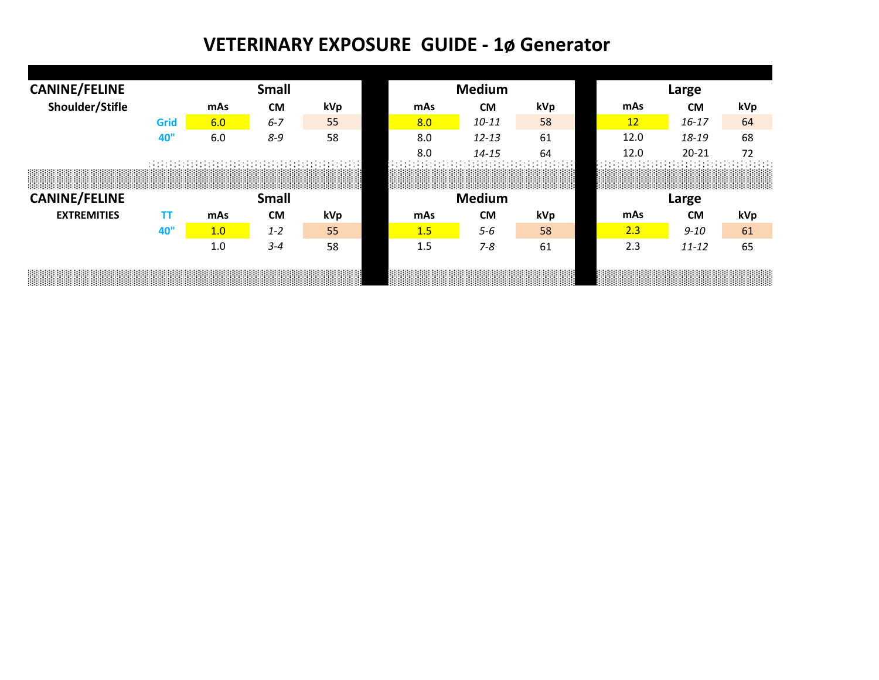